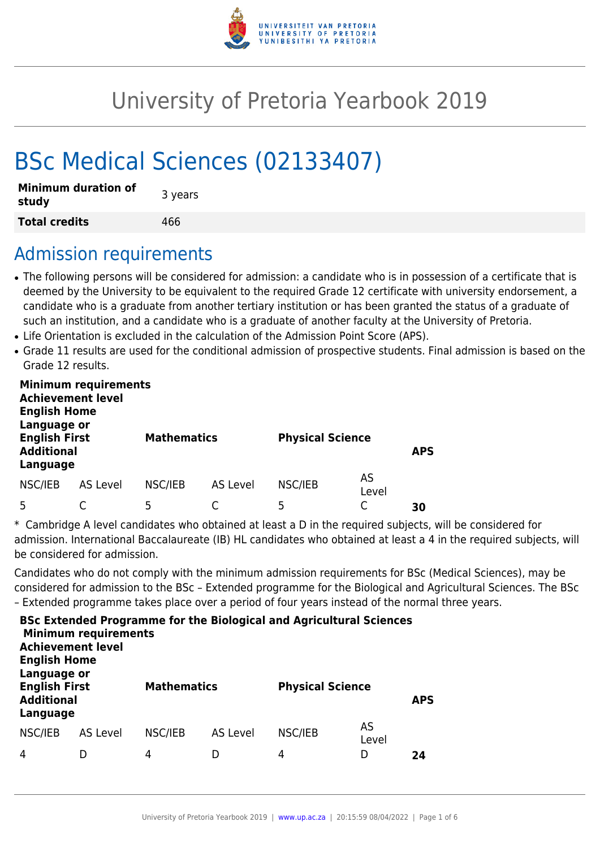

# University of Pretoria Yearbook 2019

# BSc Medical Sciences (02133407)

| <b>Minimum duration of</b><br>study | 3 years |
|-------------------------------------|---------|
| <b>Total credits</b>                | 466     |

# Admission requirements

- The following persons will be considered for admission: a candidate who is in possession of a certificate that is deemed by the University to be equivalent to the required Grade 12 certificate with university endorsement, a candidate who is a graduate from another tertiary institution or has been granted the status of a graduate of such an institution, and a candidate who is a graduate of another faculty at the University of Pretoria.
- Life Orientation is excluded in the calculation of the Admission Point Score (APS).
- Grade 11 results are used for the conditional admission of prospective students. Final admission is based on the Grade 12 results.

| <b>Minimum requirements</b><br><b>Achievement level</b><br><b>English Home</b><br>Language or<br><b>English First</b><br><b>Additional</b><br>Language |                 | <b>Mathematics</b> |                 | <b>Physical Science</b> |             | <b>APS</b> |
|--------------------------------------------------------------------------------------------------------------------------------------------------------|-----------------|--------------------|-----------------|-------------------------|-------------|------------|
| NSC/IEB                                                                                                                                                | <b>AS Level</b> | NSC/IEB            | <b>AS Level</b> | NSC/IEB                 | AS<br>Level |            |
|                                                                                                                                                        |                 | 5                  |                 | 5                       |             | 30         |

\* Cambridge A level candidates who obtained at least a D in the required subjects, will be considered for admission. International Baccalaureate (IB) HL candidates who obtained at least a 4 in the required subjects, will be considered for admission.

Candidates who do not comply with the minimum admission requirements for BSc (Medical Sciences), may be considered for admission to the BSc – Extended programme for the Biological and Agricultural Sciences. The BSc – Extended programme takes place over a period of four years instead of the normal three years.

| <b>Achievement level</b><br><b>English Home</b>                      | <b>Minimum requirements</b> |         |                    | <b>BSc Extended Programme for the Biological and Agricultural Sciences</b> |                         |    |
|----------------------------------------------------------------------|-----------------------------|---------|--------------------|----------------------------------------------------------------------------|-------------------------|----|
| Language or<br><b>English First</b><br><b>Additional</b><br>Language |                             |         | <b>Mathematics</b> |                                                                            | <b>Physical Science</b> |    |
| NSC/IEB                                                              | AS Level                    | NSC/IEB | AS Level           | NSC/IEB                                                                    | AS<br>Level             |    |
| 4                                                                    |                             | 4       |                    | 4                                                                          | D                       | 24 |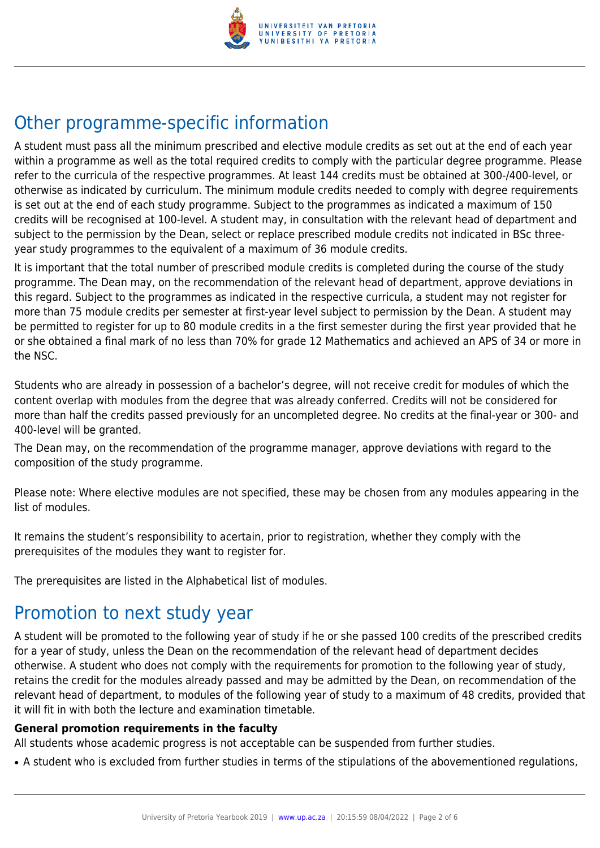

# Other programme-specific information

A student must pass all the minimum prescribed and elective module credits as set out at the end of each year within a programme as well as the total required credits to comply with the particular degree programme. Please refer to the curricula of the respective programmes. At least 144 credits must be obtained at 300-/400-level, or otherwise as indicated by curriculum. The minimum module credits needed to comply with degree requirements is set out at the end of each study programme. Subject to the programmes as indicated a maximum of 150 credits will be recognised at 100-level. A student may, in consultation with the relevant head of department and subject to the permission by the Dean, select or replace prescribed module credits not indicated in BSc threeyear study programmes to the equivalent of a maximum of 36 module credits.

It is important that the total number of prescribed module credits is completed during the course of the study programme. The Dean may, on the recommendation of the relevant head of department, approve deviations in this regard. Subject to the programmes as indicated in the respective curricula, a student may not register for more than 75 module credits per semester at first-year level subject to permission by the Dean. A student may be permitted to register for up to 80 module credits in a the first semester during the first year provided that he or she obtained a final mark of no less than 70% for grade 12 Mathematics and achieved an APS of 34 or more in the NSC.

Students who are already in possession of a bachelor's degree, will not receive credit for modules of which the content overlap with modules from the degree that was already conferred. Credits will not be considered for more than half the credits passed previously for an uncompleted degree. No credits at the final-year or 300- and 400-level will be granted.

The Dean may, on the recommendation of the programme manager, approve deviations with regard to the composition of the study programme.

Please note: Where elective modules are not specified, these may be chosen from any modules appearing in the list of modules.

It remains the student's responsibility to acertain, prior to registration, whether they comply with the prerequisites of the modules they want to register for.

The prerequisites are listed in the Alphabetical list of modules.

# Promotion to next study year

A student will be promoted to the following year of study if he or she passed 100 credits of the prescribed credits for a year of study, unless the Dean on the recommendation of the relevant head of department decides otherwise. A student who does not comply with the requirements for promotion to the following year of study, retains the credit for the modules already passed and may be admitted by the Dean, on recommendation of the relevant head of department, to modules of the following year of study to a maximum of 48 credits, provided that it will fit in with both the lecture and examination timetable.

#### **General promotion requirements in the faculty**

All students whose academic progress is not acceptable can be suspended from further studies.

• A student who is excluded from further studies in terms of the stipulations of the abovementioned regulations,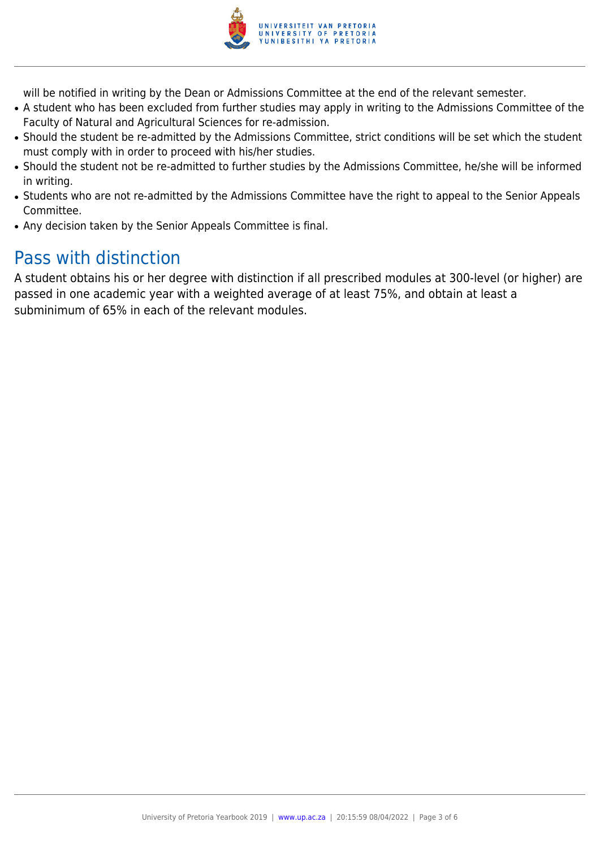

will be notified in writing by the Dean or Admissions Committee at the end of the relevant semester.

- A student who has been excluded from further studies may apply in writing to the Admissions Committee of the Faculty of Natural and Agricultural Sciences for re-admission.
- Should the student be re-admitted by the Admissions Committee, strict conditions will be set which the student must comply with in order to proceed with his/her studies.
- Should the student not be re-admitted to further studies by the Admissions Committee, he/she will be informed in writing.
- Students who are not re-admitted by the Admissions Committee have the right to appeal to the Senior Appeals Committee.
- Any decision taken by the Senior Appeals Committee is final.

# Pass with distinction

A student obtains his or her degree with distinction if all prescribed modules at 300-level (or higher) are passed in one academic year with a weighted average of at least 75%, and obtain at least a subminimum of 65% in each of the relevant modules.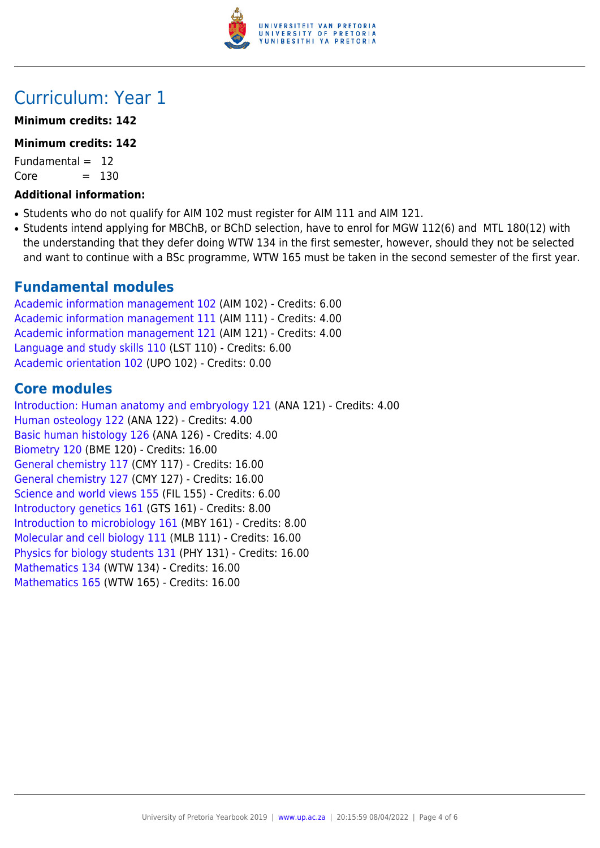

### Curriculum: Year 1

#### **Minimum credits: 142**

#### **Minimum credits: 142**

Fundamental  $= 12$  $Core = 130$ 

### **Additional information:**

- Students who do not qualify for AIM 102 must register for AIM 111 and AIM 121.
- Students intend applying for MBChB, or BChD selection, have to enrol for MGW 112(6) and MTL 180(12) with the understanding that they defer doing WTW 134 in the first semester, however, should they not be selected and want to continue with a BSc programme, WTW 165 must be taken in the second semester of the first year.

### **Fundamental modules**

[Academic information management 102](https://www.up.ac.za/faculty-of-education/yearbooks/2019/modules/view/AIM 102) (AIM 102) - Credits: 6.00 [Academic information management 111](https://www.up.ac.za/faculty-of-education/yearbooks/2019/modules/view/AIM 111) (AIM 111) - Credits: 4.00 [Academic information management 121](https://www.up.ac.za/faculty-of-education/yearbooks/2019/modules/view/AIM 121) (AIM 121) - Credits: 4.00 [Language and study skills 110](https://www.up.ac.za/faculty-of-education/yearbooks/2019/modules/view/LST 110) (LST 110) - Credits: 6.00 [Academic orientation 102](https://www.up.ac.za/faculty-of-education/yearbooks/2019/modules/view/UPO 102) (UPO 102) - Credits: 0.00

### **Core modules**

[Introduction: Human anatomy and embryology 121](https://www.up.ac.za/faculty-of-education/yearbooks/2019/modules/view/ANA 121) (ANA 121) - Credits: 4.00 [Human osteology 122](https://www.up.ac.za/faculty-of-education/yearbooks/2019/modules/view/ANA 122) (ANA 122) - Credits: 4.00 [Basic human histology 126](https://www.up.ac.za/faculty-of-education/yearbooks/2019/modules/view/ANA 126) (ANA 126) - Credits: 4.00 [Biometry 120](https://www.up.ac.za/faculty-of-education/yearbooks/2019/modules/view/BME 120) (BME 120) - Credits: 16.00 [General chemistry 117](https://www.up.ac.za/faculty-of-education/yearbooks/2019/modules/view/CMY 117) (CMY 117) - Credits: 16.00 [General chemistry 127](https://www.up.ac.za/faculty-of-education/yearbooks/2019/modules/view/CMY 127) (CMY 127) - Credits: 16.00 [Science and world views 155](https://www.up.ac.za/faculty-of-education/yearbooks/2019/modules/view/FIL 155) (FIL 155) - Credits: 6.00 [Introductory genetics 161](https://www.up.ac.za/faculty-of-education/yearbooks/2019/modules/view/GTS 161) (GTS 161) - Credits: 8.00 [Introduction to microbiology 161](https://www.up.ac.za/faculty-of-education/yearbooks/2019/modules/view/MBY 161) (MBY 161) - Credits: 8.00 [Molecular and cell biology 111](https://www.up.ac.za/faculty-of-education/yearbooks/2019/modules/view/MLB 111) (MLB 111) - Credits: 16.00 [Physics for biology students 131](https://www.up.ac.za/faculty-of-education/yearbooks/2019/modules/view/PHY 131) (PHY 131) - Credits: 16.00 [Mathematics 134](https://www.up.ac.za/faculty-of-education/yearbooks/2019/modules/view/WTW 134) (WTW 134) - Credits: 16.00 [Mathematics 165](https://www.up.ac.za/faculty-of-education/yearbooks/2019/modules/view/WTW 165) (WTW 165) - Credits: 16.00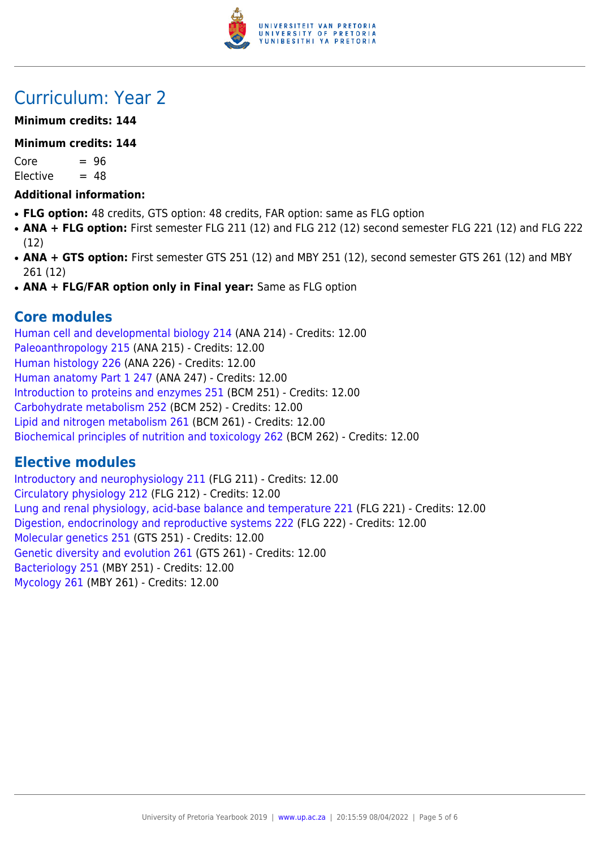

# Curriculum: Year 2

### **Minimum credits: 144**

#### **Minimum credits: 144**

 $Core = 96$  $Electric = 48$ 

### **Additional information:**

- FLG option: 48 credits, GTS option: 48 credits, FAR option: same as FLG option
- **ANA + FLG option:** First semester FLG 211 (12) and FLG 212 (12) second semester FLG 221 (12) and FLG 222 (12)
- ANA + GTS option: First semester GTS 251 (12) and MBY 251 (12), second semester GTS 261 (12) and MBY 261 (12)
- ANA + FLG/FAR option only in Final year: Same as FLG option

### **Core modules**

[Human cell and developmental biology 214](https://www.up.ac.za/faculty-of-education/yearbooks/2019/modules/view/ANA 214) (ANA 214) - Credits: 12.00 [Paleoanthropology 215](https://www.up.ac.za/faculty-of-education/yearbooks/2019/modules/view/ANA 215) (ANA 215) - Credits: 12.00 [Human histology 226](https://www.up.ac.za/faculty-of-education/yearbooks/2019/modules/view/ANA 226) (ANA 226) - Credits: 12.00 [Human anatomy Part 1 247](https://www.up.ac.za/faculty-of-education/yearbooks/2019/modules/view/ANA 247) (ANA 247) - Credits: 12.00 [Introduction to proteins and enzymes 251](https://www.up.ac.za/faculty-of-education/yearbooks/2019/modules/view/BCM 251) (BCM 251) - Credits: 12.00 [Carbohydrate metabolism 252](https://www.up.ac.za/faculty-of-education/yearbooks/2019/modules/view/BCM 252) (BCM 252) - Credits: 12.00 [Lipid and nitrogen metabolism 261](https://www.up.ac.za/faculty-of-education/yearbooks/2019/modules/view/BCM 261) (BCM 261) - Credits: 12.00 [Biochemical principles of nutrition and toxicology 262](https://www.up.ac.za/faculty-of-education/yearbooks/2019/modules/view/BCM 262) (BCM 262) - Credits: 12.00

### **Elective modules**

[Introductory and neurophysiology 211](https://www.up.ac.za/faculty-of-education/yearbooks/2019/modules/view/FLG 211) (FLG 211) - Credits: 12.00 [Circulatory physiology 212](https://www.up.ac.za/faculty-of-education/yearbooks/2019/modules/view/FLG 212) (FLG 212) - Credits: 12.00 [Lung and renal physiology, acid-base balance and temperature 221](https://www.up.ac.za/faculty-of-education/yearbooks/2019/modules/view/FLG 221) (FLG 221) - Credits: 12.00 [Digestion, endocrinology and reproductive systems 222](https://www.up.ac.za/faculty-of-education/yearbooks/2019/modules/view/FLG 222) (FLG 222) - Credits: 12.00 [Molecular genetics 251](https://www.up.ac.za/faculty-of-education/yearbooks/2019/modules/view/GTS 251) (GTS 251) - Credits: 12.00 [Genetic diversity and evolution 261](https://www.up.ac.za/faculty-of-education/yearbooks/2019/modules/view/GTS 261) (GTS 261) - Credits: 12.00 [Bacteriology 251](https://www.up.ac.za/faculty-of-education/yearbooks/2019/modules/view/MBY 251) (MBY 251) - Credits: 12.00 [Mycology 261](https://www.up.ac.za/faculty-of-education/yearbooks/2019/modules/view/MBY 261) (MBY 261) - Credits: 12.00